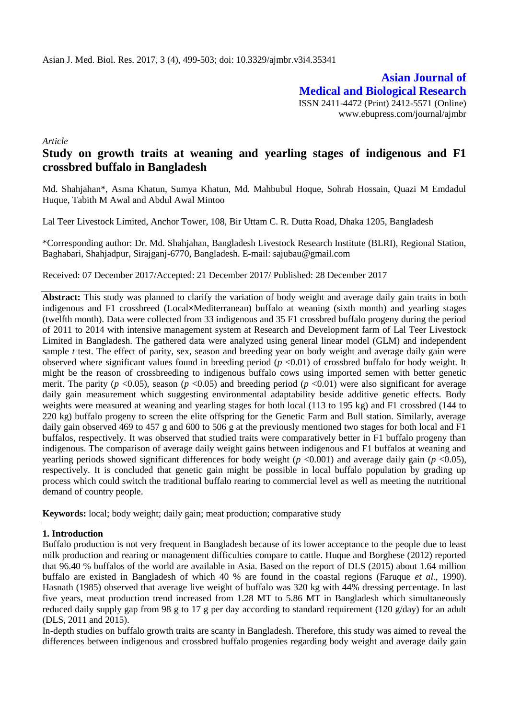**Asian Journal of Medical and Biological Research** ISSN 2411-4472 (Print) 2412-5571 (Online) www.ebupress.com/journal/ajmbr

*Article*

# **Study on growth traits at weaning and yearling stages of indigenous and F1 crossbred buffalo in Bangladesh**

Md. Shahjahan\*, Asma Khatun, Sumya Khatun, Md. Mahbubul Hoque, Sohrab Hossain, Quazi M Emdadul Huque, Tabith M Awal and Abdul Awal Mintoo

Lal Teer Livestock Limited, Anchor Tower, 108, Bir Uttam C. R. Dutta Road, Dhaka 1205, Bangladesh

\*Corresponding author: Dr. Md. Shahjahan, Bangladesh Livestock Research Institute (BLRI), Regional Station, Baghabari, Shahjadpur, Sirajganj-6770, Bangladesh. E-mail: [sajubau@gmail.com](mailto:sajubau@gmail.com)

Received: 07 December 2017/Accepted: 21 December 2017/ Published: 28 December 2017

**Abstract:** This study was planned to clarify the variation of body weight and average daily gain traits in both indigenous and F1 crossbreed (Local×Mediterranean) buffalo at weaning (sixth month) and yearling stages (twelfth month). Data were collected from 33 indigenous and 35 F1 crossbred buffalo progeny during the period of 2011 to 2014 with intensive management system at Research and Development farm of Lal Teer Livestock Limited in Bangladesh. The gathered data were analyzed using general linear model (GLM) and independent sample *t* test. The effect of parity, sex, season and breeding year on body weight and average daily gain were observed where significant values found in breeding period (*p* <0.01) of crossbred buffalo for body weight. It might be the reason of crossbreeding to indigenous buffalo cows using imported semen with better genetic merit. The parity ( $p < 0.05$ ), season ( $p < 0.05$ ) and breeding period ( $p < 0.01$ ) were also significant for average daily gain measurement which suggesting environmental adaptability beside additive genetic effects. Body weights were measured at weaning and yearling stages for both local (113 to 195 kg) and F1 crossbred (144 to 220 kg) buffalo progeny to screen the elite offspring for the Genetic Farm and Bull station. Similarly, average daily gain observed 469 to 457 g and 600 to 506 g at the previously mentioned two stages for both local and F1 buffalos, respectively. It was observed that studied traits were comparatively better in F1 buffalo progeny than indigenous. The comparison of average daily weight gains between indigenous and F1 buffalos at weaning and yearling periods showed significant differences for body weight (*p* <0.001) and average daily gain (*p* <0.05), respectively. It is concluded that genetic gain might be possible in local buffalo population by grading up process which could switch the traditional buffalo rearing to commercial level as well as meeting the nutritional demand of country people.

**Keywords:** local; body weight; daily gain; meat production; comparative study

### **1. Introduction**

Buffalo production is not very frequent in Bangladesh because of its lower acceptance to the people due to least milk production and rearing or management difficulties compare to cattle. Huque and Borghese (2012) reported that 96.40 % buffalos of the world are available in Asia. Based on the report of DLS (2015) about 1.64 million buffalo are existed in Bangladesh of which 40 % are found in the coastal regions (Faruque *et al.*, 1990). Hasnath (1985) observed that average live weight of buffalo was 320 kg with 44% dressing percentage. In last five years, meat production trend increased from 1.28 MT to 5.86 MT in Bangladesh which simultaneously reduced daily supply gap from 98 g to 17 g per day according to standard requirement (120 g/day) for an adult (DLS, 2011 and 2015).

In-depth studies on buffalo growth traits are scanty in Bangladesh. Therefore, this study was aimed to reveal the differences between indigenous and crossbred buffalo progenies regarding body weight and average daily gain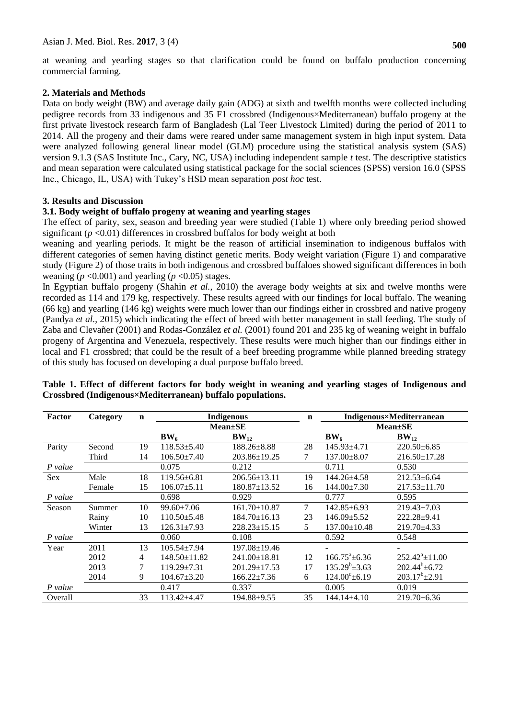at weaning and yearling stages so that clarification could be found on buffalo production concerning commercial farming.

## **2. Materials and Methods**

Data on body weight (BW) and average daily gain (ADG) at sixth and twelfth months were collected including pedigree records from 33 indigenous and 35 F1 crossbred (Indigenous×Mediterranean) buffalo progeny at the first private livestock research farm of Bangladesh (Lal Teer Livestock Limited) during the period of 2011 to 2014. All the progeny and their dams were reared under same management system in high input system. Data were analyzed following general linear model (GLM) procedure using the statistical analysis system (SAS) version 9.1.3 (SAS Institute Inc., Cary, NC, USA) including independent sample *t* test. The descriptive statistics and mean separation were calculated using statistical package for the social sciences (SPSS) version 16.0 (SPSS Inc., Chicago, IL, USA) with Tukey's HSD mean separation *post hoc* test.

# **3. Results and Discussion**

# **3.1. Body weight of buffalo progeny at weaning and yearling stages**

The effect of parity, sex, season and breeding year were studied (Table 1) where only breeding period showed significant  $(p < 0.01)$  differences in crossbred buffalos for body weight at both

weaning and yearling periods. It might be the reason of artificial insemination to indigenous buffalos with different categories of semen having distinct genetic merits. Body weight variation (Figure 1) and comparative study (Figure 2) of those traits in both indigenous and crossbred buffaloes showed significant differences in both weaning ( $p < 0.001$ ) and yearling ( $p < 0.05$ ) stages.

In Egyptian buffalo progeny (Shahin *et al.*, 2010) the average body weights at six and twelve months were recorded as 114 and 179 kg, respectively. These results agreed with our findings for local buffalo. The weaning (66 kg) and yearling (146 kg) weights were much lower than our findings either in crossbred and native progeny (Pandya *et al.*, 2015) which indicating the effect of breed with better management in stall feeding. The study of Zaba and Clevañer (2001) and Rodas-González *et al.* (2001) found 201 and 235 kg of weaning weight in buffalo progeny of Argentina and Venezuela, respectively. These results were much higher than our findings either in local and F1 crossbred; that could be the result of a beef breeding programme while planned breeding strategy of this study has focused on developing a dual purpose buffalo breed.

| Factor  | Category | $\mathbf n$ | <b>Indigenous</b>  |                    | $\mathbf n$ | Indigenous×Mediterranean     |                      |
|---------|----------|-------------|--------------------|--------------------|-------------|------------------------------|----------------------|
|         |          |             | $Mean \pm SE$      |                    |             | $Mean \pm SE$                |                      |
|         |          |             | BW <sub>6</sub>    | $BW_{12}$          |             | BW <sub>6</sub>              | $BW_{12}$            |
| Parity  | Second   | 19          | $118.53 \pm 5.40$  | $188.26 \pm 8.88$  | 28          | $145.93 \pm 4.71$            | $220.50\pm 6.85$     |
|         | Third    | 14          | $106.50 \pm 7.40$  | $203.86 \pm 19.25$ | 7           | 137.00±8.07                  | 216.50±17.28         |
| P value |          |             | 0.075              | 0.212              |             | 0.711                        | 0.530                |
| Sex     | Male     | 18          | $119.56 \pm 6.81$  | $206.56 \pm 13.11$ | 19          | 144.26±4.58                  | $212.53 \pm 6.64$    |
|         | Female   | 15          | $106.07 \pm 5.11$  | $180.87 \pm 13.52$ | 16          | 144.00±7.30                  | $217.53 \pm 11.70$   |
| P value |          |             | 0.698              | 0.929              |             | 0.777                        | 0.595                |
| Season  | Summer   | 10          | 99.60±7.06         | $161.70 \pm 10.87$ | 7           | $142.85 \pm 6.93$            | 219.43±7.03          |
|         | Rainy    | 10          | $110.50 \pm 5.48$  | $184.70 \pm 16.13$ | 23          | $146.09 \pm 5.52$            | $222.28 + 9.41$      |
|         | Winter   | 13          | $126.31 \pm 7.93$  | $228.23 \pm 15.15$ | 5           | $137.00 \pm 10.48$           | $219.70 \pm 4.33$    |
| P value |          |             | 0.060              | 0.108              |             | 0.592                        | 0.548                |
| Year    | 2011     | 13          | $105.54 \pm 7.94$  | 197.08±19.46       |             |                              |                      |
|         | 2012     | 4           | $148.50 \pm 11.82$ | $241.00 \pm 18.81$ | 12          | $166.75^{\mathrm{a}}\pm6.36$ | $252.42^a \pm 11.00$ |
|         | 2013     | 7           | $119.29 \pm 7.31$  | $201.29 \pm 17.53$ | 17          | $135.29^b \pm 3.63$          | $202.44^b \pm 6.72$  |
|         | 2014     | 9           | $104.67 \pm 3.20$  | $166.22 \pm 7.36$  | 6           | $124.00^{\circ}$ ±6.19       | $203.17^b \pm 2.91$  |
| P value |          |             | 0.417              | 0.337              |             | 0.005                        | 0.019                |
| Overall |          | 33          | $113.42 + 4.47$    | 194.88±9.55        | 35          | 144.14±4.10                  | $219.70 \pm 6.36$    |

# **Table 1. Effect of different factors for body weight in weaning and yearling stages of Indigenous and Crossbred (Indigenous×Mediterranean) buffalo populations.**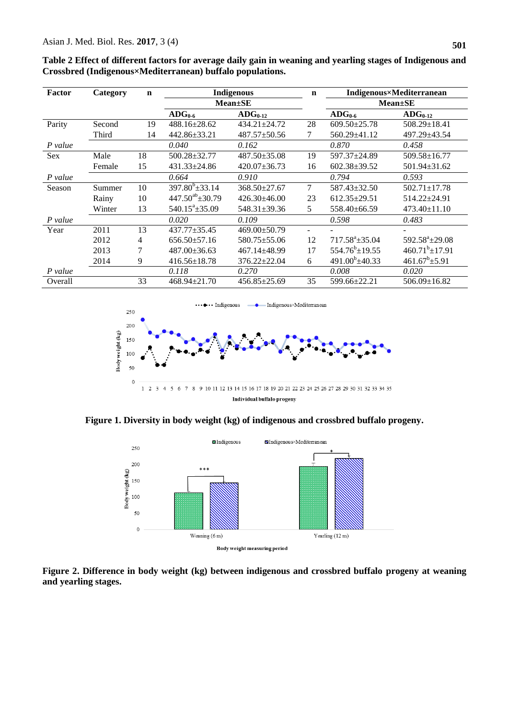| Factor  | Category | $\mathbf n$ | Indigenous              |                               | $\mathbf n$ | <b>Indigenous×Mediterranean</b> |                        |
|---------|----------|-------------|-------------------------|-------------------------------|-------------|---------------------------------|------------------------|
|         |          |             |                         |                               |             |                                 |                        |
|         |          |             | $Mean \pm SE$           |                               |             | $Mean \pm SE$                   |                        |
|         |          |             | $\rm{ADG}_{0.6}$        | $\bf{A} \bf{D} \bf{G}_{0-12}$ |             | $\rm{ADG}_{0.6}$                | $\rm{ADG}_{0-12}$      |
| Parity  | Second   | 19          | 488.16±28.62            | $434.21 \pm 24.72$            | 28          | $609.50 \pm 25.78$              | $508.29 \pm 18.41$     |
|         | Third    | 14          | 442.86±33.21            | $487.57 \pm 50.56$            | 7           | 560.29±41.12                    | 497.29±43.54           |
| P value |          |             | 0.040                   | 0.162                         |             | 0.870                           | 0.458                  |
| Sex     | Male     | 18          | 500.28±32.77            | 487.50±35.08                  | 19          | 597.37±24.89                    | 509.58±16.77           |
|         | Female   | 15          | $431.33 \pm 24.86$      | $420.07 \pm 36.73$            | 16          | $602.38 \pm 39.52$              | $501.94 \pm 31.62$     |
| P value |          |             | 0.664                   | 0.910                         |             | 0.794                           | 0.593                  |
| Season  | Summer   | 10          | $397.80^{b} \pm 33.14$  | $368.50 + 27.67$              | 7           | 587.43±32.50                    | $502.71 \pm 17.78$     |
|         | Rainy    | 10          | $447.50^{ab} \pm 30.79$ | $426.30 + 46.00$              | 23          | $612.35 \pm 29.51$              | 514.22±24.91           |
|         | Winter   | 13          | $540.15^{\circ}$ ±35.09 | $548.31 \pm 39.36$            | 5           | 558.40±66.59                    | $473.40 \pm 11.10$     |
| P value |          |             | 0.020                   | 0.109                         |             | 0.598                           | 0.483                  |
| Year    | 2011     | 13          | $437.77 + 35.45$        | 469.00±50.79                  |             |                                 |                        |
|         | 2012     | 4           | $656.50 \pm 57.16$      | $580.75 \pm 55.06$            | 12          | $717.58^{\text{a}}$ + 35.04     | $592.58^a \pm 29.08$   |
|         | 2013     | 7           | $487.00 \pm 36.63$      | 467.14±48.99                  | 17          | $554.76^b \pm 19.55$            | $460.71^{b} \pm 17.91$ |
|         | 2014     | 9           | $416.56 \pm 18.78$      | $376.22 \pm 22.04$            | 6           | $491.00^b$ ± 40.33              | $461.67^b \pm 5.91$    |
| P value |          |             | 0.118                   | 0.270                         |             | 0.008                           | 0.020                  |
| Overall |          | 33          | $468.94 \pm 21.70$      | $456.85 \pm 25.69$            | 35          | 599.66±22.21                    | $506.09 \pm 16.82$     |

**Table 2 Effect of different factors for average daily gain in weaning and yearling stages of Indigenous and Crossbred (Indigenous×Mediterranean) buffalo populations.** 



**Figure 1. Diversity in body weight (kg) of indigenous and crossbred buffalo progeny.**



**Figure 2. Difference in body weight (kg) between indigenous and crossbred buffalo progeny at weaning and yearling stages.**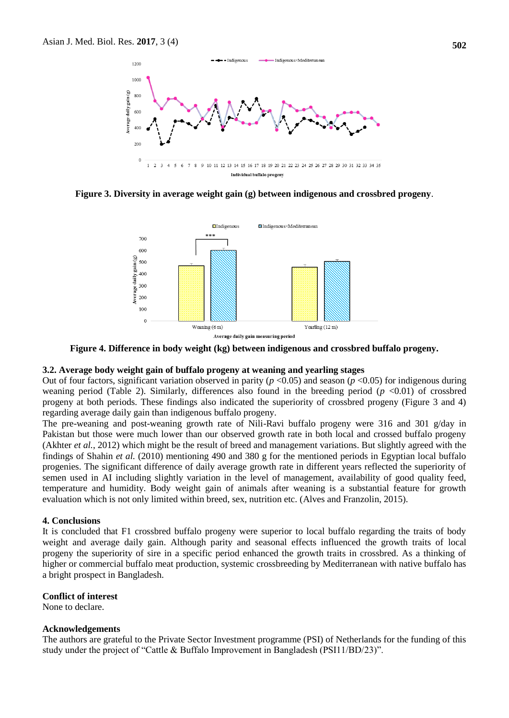

**Figure 3. Diversity in average weight gain (g) between indigenous and crossbred progeny**.



**Figure 4. Difference in body weight (kg) between indigenous and crossbred buffalo progeny.**

#### **3.2. Average body weight gain of buffalo progeny at weaning and yearling stages**

Out of four factors, significant variation observed in parity ( $p < 0.05$ ) and season ( $p < 0.05$ ) for indigenous during weaning period (Table 2). Similarly, differences also found in the breeding period (*p* <0.01) of crossbred progeny at both periods. These findings also indicated the superiority of crossbred progeny (Figure 3 and 4) regarding average daily gain than indigenous buffalo progeny.

The pre-weaning and post-weaning growth rate of Nili-Ravi buffalo progeny were 316 and 301 g/day in Pakistan but those were much lower than our observed growth rate in both local and crossed buffalo progeny (Akhter *et al.*, 2012) which might be the result of breed and management variations. But slightly agreed with the findings of Shahin *et al.* (2010) mentioning 490 and 380 g for the mentioned periods in Egyptian local buffalo progenies. The significant difference of daily average growth rate in different years reflected the superiority of semen used in AI including slightly variation in the level of management, availability of good quality feed, temperature and humidity. Body weight gain of animals after weaning is a substantial feature for growth evaluation which is not only limited within breed, sex, nutrition etc. (Alves and Franzolin, 2015).

#### **4. Conclusions**

It is concluded that F1 crossbred buffalo progeny were superior to local buffalo regarding the traits of body weight and average daily gain. Although parity and seasonal effects influenced the growth traits of local progeny the superiority of sire in a specific period enhanced the growth traits in crossbred. As a thinking of higher or commercial buffalo meat production, systemic crossbreeding by Mediterranean with native buffalo has a bright prospect in Bangladesh.

#### **Conflict of interest**

None to declare.

#### **Acknowledgements**

The authors are grateful to the Private Sector Investment programme (PSI) of Netherlands for the funding of this study under the project of "Cattle & Buffalo Improvement in Bangladesh (PSI11/BD/23)".